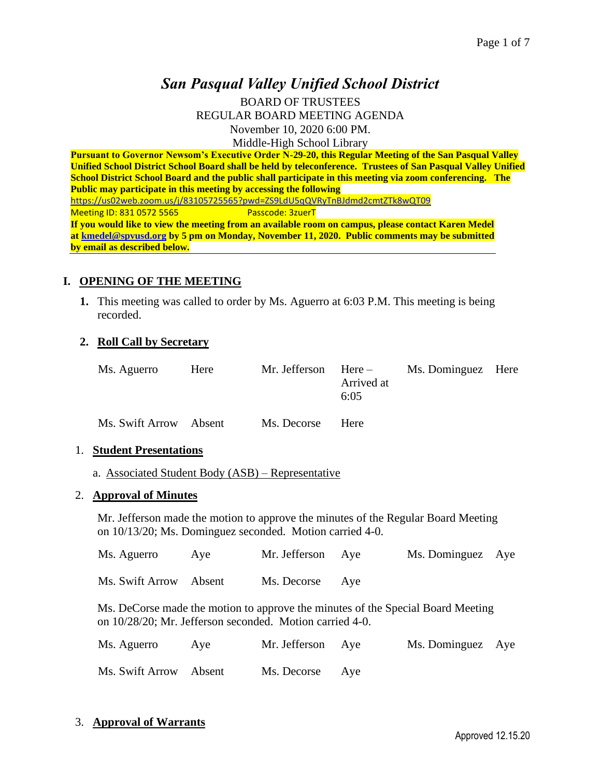# *San Pasqual Valley Unified School District*

BOARD OF TRUSTEES REGULAR BOARD MEETING AGENDA November 10, 2020 6:00 PM. Middle-High School Library

**Pursuant to Governor Newsom's Executive Order N-29-20, this Regular Meeting of the San Pasqual Valley Unified School District School Board shall be held by teleconference. Trustees of San Pasqual Valley Unified School District School Board and the public shall participate in this meeting via zoom conferencing. The Public may participate in this meeting by accessing the following**  <https://us02web.zoom.us/j/83105725565?pwd=ZS9LdU5qQVRyTnBJdmd2cmtZTk8wQT09> Meeting ID: 831 0572 5565 Passcode: 3zuerT **If you would like to view the meeting from an available room on campus, please contact Karen Medel at [kmedel@spvusd.org](mailto:kmedel@spvusd.org) by 5 pm on Monday, November 11, 2020. Public comments may be submitted by email as described below.** 

### **I. OPENING OF THE MEETING**

**1.** This meeting was called to order by Ms. Aguerro at 6:03 P.M. This meeting is being recorded.

### **2. Roll Call by Secretary**

| Ms. Aguerro | Here | Mr. Jefferson $Here -$ |            | Ms. Dominguez Here |  |
|-------------|------|------------------------|------------|--------------------|--|
|             |      |                        | Arrived at |                    |  |
|             |      |                        | 6:05       |                    |  |
|             |      |                        |            |                    |  |

| Ms. Swift Arrow | Absent | Ms. Decorse | Here |
|-----------------|--------|-------------|------|
|-----------------|--------|-------------|------|

#### 1. **Student Presentations**

a. Associated Student Body (ASB) – Representative

#### 2. **Approval of Minutes**

Mr. Jefferson made the motion to approve the minutes of the Regular Board Meeting on 10/13/20; Ms. Dominguez seconded. Motion carried 4-0.

| Ms. Aguerro            | Ave | Mr. Jefferson Aye | Ms. Dominguez Aye |  |
|------------------------|-----|-------------------|-------------------|--|
| Ms. Swift Arrow Absent |     | Ms. Decorse Aye   |                   |  |

Ms. DeCorse made the motion to approve the minutes of the Special Board Meeting on 10/28/20; Mr. Jefferson seconded. Motion carried 4-0.

| Ms. Aguerro            | Aye | Mr. Jefferson Aye | Ms. Dominguez Aye |  |
|------------------------|-----|-------------------|-------------------|--|
| Ms. Swift Arrow Absent |     | Ms. Decorse Aye   |                   |  |

3. **Approval of Warrants**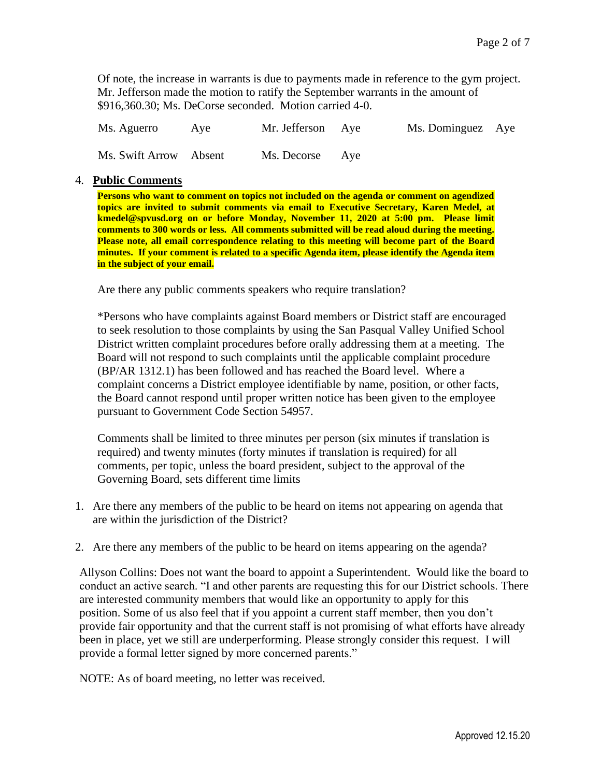Of note, the increase in warrants is due to payments made in reference to the gym project. Mr. Jefferson made the motion to ratify the September warrants in the amount of \$916,360.30; Ms. DeCorse seconded. Motion carried 4-0.

| Ms. Aguerro            | Ave | Mr. Jefferson Aye | Ms. Dominguez Aye |  |
|------------------------|-----|-------------------|-------------------|--|
| Ms. Swift Arrow Absent |     | Ms. Decorse Aye   |                   |  |

#### 4. **Public Comments**

**Persons who want to comment on topics not included on the agenda or comment on agendized topics are invited to submit comments via email to Executive Secretary, Karen Medel, at kmedel@spvusd.org on or before Monday, November 11, 2020 at 5:00 pm. Please limit comments to 300 words or less. All comments submitted will be read aloud during the meeting. Please note, all email correspondence relating to this meeting will become part of the Board minutes. If your comment is related to a specific Agenda item, please identify the Agenda item in the subject of your email.**

Are there any public comments speakers who require translation?

\*Persons who have complaints against Board members or District staff are encouraged to seek resolution to those complaints by using the San Pasqual Valley Unified School District written complaint procedures before orally addressing them at a meeting. The Board will not respond to such complaints until the applicable complaint procedure (BP/AR 1312.1) has been followed and has reached the Board level. Where a complaint concerns a District employee identifiable by name, position, or other facts, the Board cannot respond until proper written notice has been given to the employee pursuant to Government Code Section 54957.

Comments shall be limited to three minutes per person (six minutes if translation is required) and twenty minutes (forty minutes if translation is required) for all comments, per topic, unless the board president, subject to the approval of the Governing Board, sets different time limits

- 1. Are there any members of the public to be heard on items not appearing on agenda that are within the jurisdiction of the District?
- 2. Are there any members of the public to be heard on items appearing on the agenda?

Allyson Collins: Does not want the board to appoint a Superintendent. Would like the board to conduct an active search. "I and other parents are requesting this for our District schools. There are interested community members that would like an opportunity to apply for this position. Some of us also feel that if you appoint a current staff member, then you don't provide fair opportunity and that the current staff is not promising of what efforts have already been in place, yet we still are underperforming. Please strongly consider this request. I will provide a formal letter signed by more concerned parents."

NOTE: As of board meeting, no letter was received.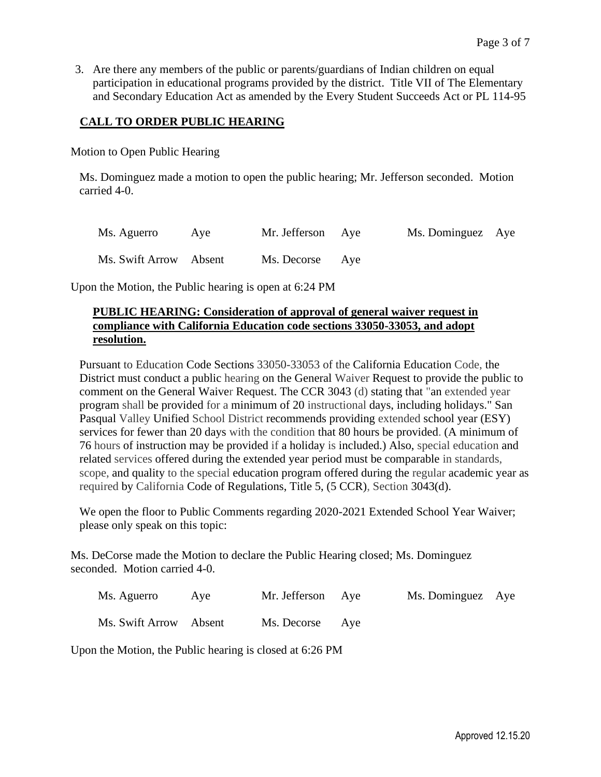3. Are there any members of the public or parents/guardians of Indian children on equal participation in educational programs provided by the district. Title VII of The Elementary and Secondary Education Act as amended by the Every Student Succeeds Act or PL 114-95

## **CALL TO ORDER PUBLIC HEARING**

Motion to Open Public Hearing

Ms. Dominguez made a motion to open the public hearing; Mr. Jefferson seconded. Motion carried 4-0.

| Ms. Aguerro            | Aye | Mr. Jefferson Aye | Ms. Dominguez Aye |  |
|------------------------|-----|-------------------|-------------------|--|
| Ms. Swift Arrow Absent |     | Ms. Decorse Aye   |                   |  |

Upon the Motion, the Public hearing is open at 6:24 PM

## **PUBLIC HEARING: Consideration of approval of general waiver request in compliance with California Education code sections 33050-33053, and adopt resolution.**

Pursuant to Education Code Sections 33050-33053 of the California Education Code, the District must conduct a public hearing on the General Waiver Request to provide the public to comment on the General Waiver Request. The CCR 3043 (d) stating that "an extended year program shall be provided for a minimum of 20 instructional days, including holidays." San Pasqual Valley Unified School District recommends providing extended school year (ESY) services for fewer than 20 days with the condition that 80 hours be provided. (A minimum of 76 hours of instruction may be provided if a holiday is included.) Also, special education and related services offered during the extended year period must be comparable in standards, scope, and quality to the special education program offered during the regular academic year as required by California Code of Regulations, Title 5, (5 CCR), Section 3043(d).

We open the floor to Public Comments regarding 2020-2021 Extended School Year Waiver; please only speak on this topic:

Ms. DeCorse made the Motion to declare the Public Hearing closed; Ms. Dominguez seconded. Motion carried 4-0.

| Ms. Aguerro | Aye | Mr. Jefferson Aye |  | Ms. Dominguez Aye |  |
|-------------|-----|-------------------|--|-------------------|--|
|-------------|-----|-------------------|--|-------------------|--|

Ms. Swift Arrow Absent Ms. Decorse Aye

Upon the Motion, the Public hearing is closed at 6:26 PM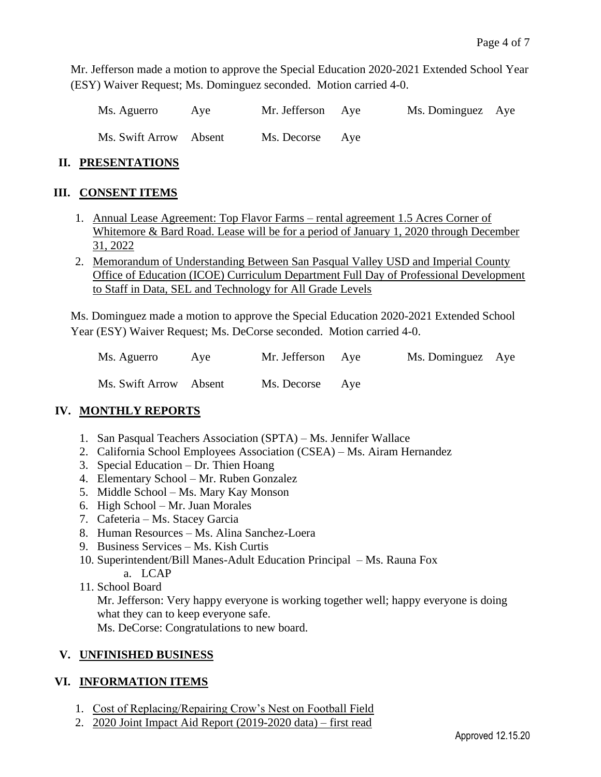Mr. Jefferson made a motion to approve the Special Education 2020-2021 Extended School Year (ESY) Waiver Request; Ms. Dominguez seconded. Motion carried 4-0.

| Ms. Aguerro            | Ave | Mr. Jefferson Aye | Ms. Dominguez Aye |  |
|------------------------|-----|-------------------|-------------------|--|
| Ms. Swift Arrow Absent |     | Ms. Decorse Aye   |                   |  |

## **II. PRESENTATIONS**

## **III. CONSENT ITEMS**

- 1. Annual Lease Agreement: Top Flavor Farms rental agreement 1.5 Acres Corner of Whitemore & Bard Road. Lease will be for a period of January 1, 2020 through December 31, 2022
- 2. Memorandum of Understanding Between San Pasqual Valley USD and Imperial County Office of Education (ICOE) Curriculum Department Full Day of Professional Development to Staff in Data, SEL and Technology for All Grade Levels

Ms. Dominguez made a motion to approve the Special Education 2020-2021 Extended School Year (ESY) Waiver Request; Ms. DeCorse seconded. Motion carried 4-0.

| Ms. Aguerro            | Aye | Mr. Jefferson Aye | Ms. Dominguez Aye |  |
|------------------------|-----|-------------------|-------------------|--|
| Ms. Swift Arrow Absent |     | Ms. Decorse Aye   |                   |  |

## **IV. MONTHLY REPORTS**

- 1. San Pasqual Teachers Association (SPTA) Ms. Jennifer Wallace
- 2. California School Employees Association (CSEA) Ms. Airam Hernandez
- 3. Special Education Dr. Thien Hoang
- 4. Elementary School Mr. Ruben Gonzalez
- 5. Middle School Ms. Mary Kay Monson
- 6. High School Mr. Juan Morales
- 7. Cafeteria Ms. Stacey Garcia
- 8. Human Resources Ms. Alina Sanchez-Loera
- 9. Business Services Ms. Kish Curtis
- 10. Superintendent/Bill Manes-Adult Education Principal Ms. Rauna Fox
	- a. LCAP
- 11. School Board

Mr. Jefferson: Very happy everyone is working together well; happy everyone is doing what they can to keep everyone safe.

Ms. DeCorse: Congratulations to new board.

## **V. UNFINISHED BUSINESS**

## **VI. INFORMATION ITEMS**

- 1. Cost of Replacing/Repairing Crow's Nest on Football Field
- 2. 2020 Joint Impact Aid Report (2019-2020 data) first read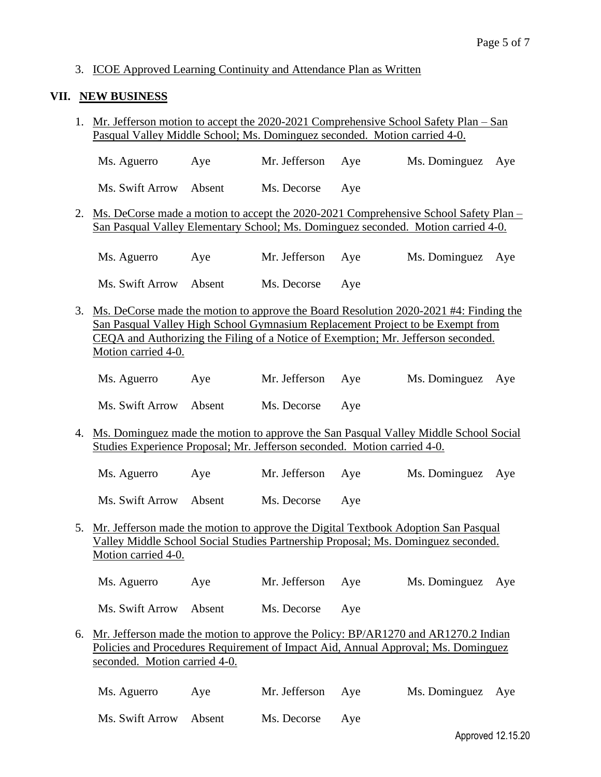#### 3. ICOE Approved Learning Continuity and Attendance Plan as Written

#### **VII. NEW BUSINESS**

1. Mr. Jefferson motion to accept the 2020-2021 Comprehensive School Safety Plan – San Pasqual Valley Middle School; Ms. Dominguez seconded. Motion carried 4-0.

Ms. Aguerro Aye Mr. Jefferson Aye Ms. Dominguez Aye Ms. Swift Arrow Absent Ms. Decorse Aye

2. Ms. DeCorse made a motion to accept the 2020-2021 Comprehensive School Safety Plan – San Pasqual Valley Elementary School; Ms. Dominguez seconded. Motion carried 4-0.

| Ms. Aguerro            | Ave | Mr. Jefferson Aye | Ms. Dominguez Aye |  |
|------------------------|-----|-------------------|-------------------|--|
| Ms. Swift Arrow Absent |     | Ms. Decorse Aye   |                   |  |

3. Ms. DeCorse made the motion to approve the Board Resolution 2020-2021 #4: Finding the San Pasqual Valley High School Gymnasium Replacement Project to be Exempt from CEQA and Authorizing the Filing of a Notice of Exemption; Mr. Jefferson seconded. Motion carried 4-0.

| Ms. Aguerro<br>Aye | Mr. Jefferson Aye | Ms. Dominguez Aye |
|--------------------|-------------------|-------------------|
|--------------------|-------------------|-------------------|

Ms. Swift Arrow Absent Ms. Decorse Aye

- 4. Ms. Dominguez made the motion to approve the San Pasqual Valley Middle School Social Studies Experience Proposal; Mr. Jefferson seconded. Motion carried 4-0.
	- Ms. Aguerro Aye Mr. Jefferson Aye Ms. Dominguez Aye

Ms. Swift Arrow Absent Ms. Decorse Aye

5. Mr. Jefferson made the motion to approve the Digital Textbook Adoption San Pasqual Valley Middle School Social Studies Partnership Proposal; Ms. Dominguez seconded. Motion carried 4-0.

Ms. Aguerro Aye Mr. Jefferson Aye Ms. Dominguez Aye Ms. Swift Arrow Absent Ms. Decorse Aye

6. Mr. Jefferson made the motion to approve the Policy: BP/AR1270 and AR1270.2 Indian Policies and Procedures Requirement of Impact Aid, Annual Approval; Ms. Dominguez seconded. Motion carried 4-0.

| Ms. Aguerro            | Ave | Mr. Jefferson Aye | Ms. Dominguez Aye |  |
|------------------------|-----|-------------------|-------------------|--|
| Ms. Swift Arrow Absent |     | Ms. Decorse Aye   |                   |  |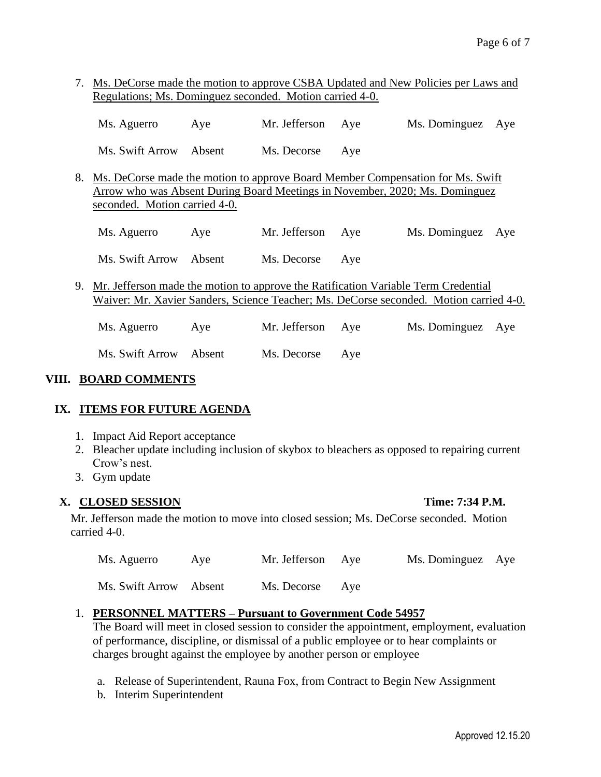7. Ms. DeCorse made the motion to approve CSBA Updated and New Policies per Laws and Regulations; Ms. Dominguez seconded. Motion carried 4-0.

| Ms. Aguerro            | Ave | Mr. Jefferson Aye | Ms. Dominguez Aye |  |
|------------------------|-----|-------------------|-------------------|--|
| Ms. Swift Arrow Absent |     | Ms. Decorse Aye   |                   |  |

8. Ms. DeCorse made the motion to approve Board Member Compensation for Ms. Swift Arrow who was Absent During Board Meetings in November, 2020; Ms. Dominguez seconded. Motion carried 4-0.

Ms. Aguerro Aye Mr. Jefferson Aye Ms. Dominguez Aye

Ms. Swift Arrow Absent Ms. Decorse Aye

9. Mr. Jefferson made the motion to approve the Ratification Variable Term Credential Waiver: Mr. Xavier Sanders, Science Teacher; Ms. DeCorse seconded. Motion carried 4-0.

| Ms. Aguerro            | Ave | Mr. Jefferson Aye | Ms. Dominguez Aye |  |
|------------------------|-----|-------------------|-------------------|--|
| Ms. Swift Arrow Absent |     | Ms. Decorse Aye   |                   |  |

## **VIII. BOARD COMMENTS**

## **IX. ITEMS FOR FUTURE AGENDA**

- 1. Impact Aid Report acceptance
- 2. Bleacher update including inclusion of skybox to bleachers as opposed to repairing current Crow's nest.
- 3. Gym update

## **X. CLOSED SESSION Time: 7:34 P.M.**

Mr. Jefferson made the motion to move into closed session; Ms. DeCorse seconded. Motion carried 4-0.

| Ms. Aguerro            | Aye | Mr. Jefferson Aye | Ms. Dominguez Aye |  |
|------------------------|-----|-------------------|-------------------|--|
| Ms. Swift Arrow Absent |     | Ms. Decorse Aye   |                   |  |

## 1. **PERSONNEL MATTERS – Pursuant to Government Code 54957**

The Board will meet in closed session to consider the appointment, employment, evaluation of performance, discipline, or dismissal of a public employee or to hear complaints or charges brought against the employee by another person or employee

- a. Release of Superintendent, Rauna Fox, from Contract to Begin New Assignment
- b. Interim Superintendent